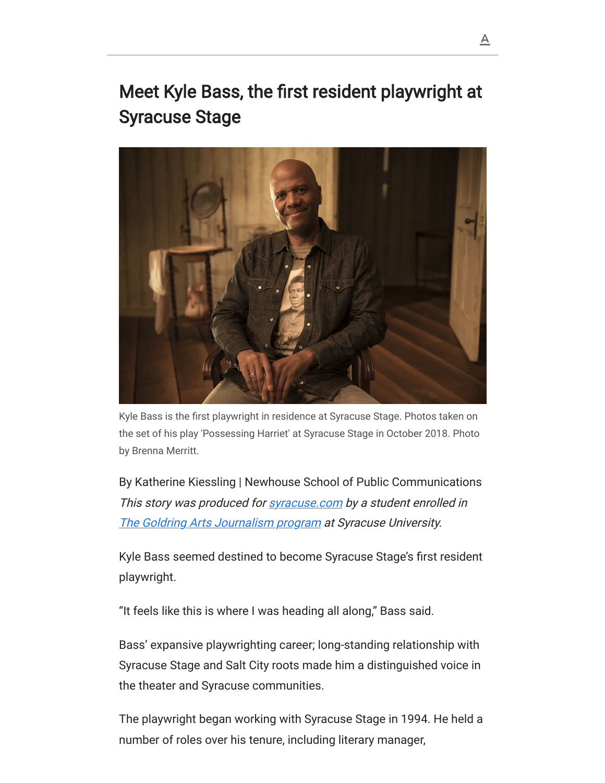## Meet Kyle Bass, the first resident playwright at Syracuse Stage



the set of his play 'Possessing Harriet' at Syracuse Stage in October 2018. Photo by Brenna Merritt.

By Katherine Kiessling | Newhouse School of Public Communications This story was produced for **[syracuse.com](http://syracuse.com/)** by a student enrolled in [The Goldring Arts Journalism program](http://newhouse.syr.edu/academics/degrees/masters/arts-journalism-masters) at Syracuse University. Kyle Bass is the first playwright in residence at Syracuse Stage. Photos taken on<br>the set of his play 'Possessing Harriet' at Syracuse Stage in October 2018. Photo<br>by Brenna Merritt.<br>By Katherine Kiessling | Newhouse Schoo

Kyle Bass seemed destined to become Syracuse Stage's first resident playwright.

"It feels like this is where I was heading all along," Bass said.

Bass' expansive playwrighting career; long-standing relationship with Syracuse Stage and Salt City roots made him a distinguished voice in the theater and Syracuse communities.

The playwright began working with Syracuse Stage in 1994. He held a number of roles over his tenure, including literary manager,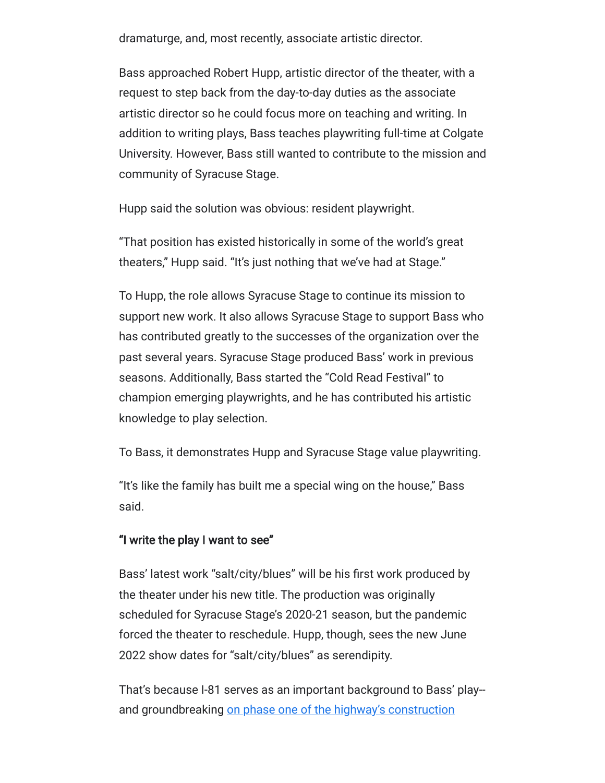dramaturge, and, most recently, associate artistic director.

Bass approached Robert Hupp, artistic director of the theater, with a request to step back from the day-to-day duties as the associate artistic director so he could focus more on teaching and writing. In addition to writing plays, Bass teaches playwriting full-time at Colgate University. However, Bass still wanted to contribute to the mission and community of Syracuse Stage.

Hupp said the solution was obvious: resident playwright.

"That position has existed historically in some of the world's great theaters," Hupp said. "It's just nothing that we've had at Stage."

To Hupp, the role allows Syracuse Stage to continue its mission to support new work. It also allows Syracuse Stage to support Bass who has contributed greatly to the successes of the organization over the past several years. Syracuse Stage produced Bass' work in previous seasons. Additionally, Bass started the "Cold Read Festival" to champion emerging playwrights, and he has contributed his artistic knowledge to play selection.

To Bass, it demonstrates Hupp and Syracuse Stage value playwriting.

"It's like the family has built me a special wing on the house," Bass said.

## "I write the play I want to see"

Bass' latest work "salt/city/blues" will be his first work produced by the theater under his new title. The production was originally scheduled for Syracuse Stage's 2020-21 season, but the pandemic forced the theater to reschedule. Hupp, though, sees the new June 2022 show dates for "salt/city/blues" as serendipity.

That's because I-81 serves as an important background to Bass' play- [and groundbreaking on phase one of the highway's construction](https://www.syracuse.com/news/2021/07/i-81-construction-begins-next-year-but-the-hulking-highway-wont-come-down-for-years.html)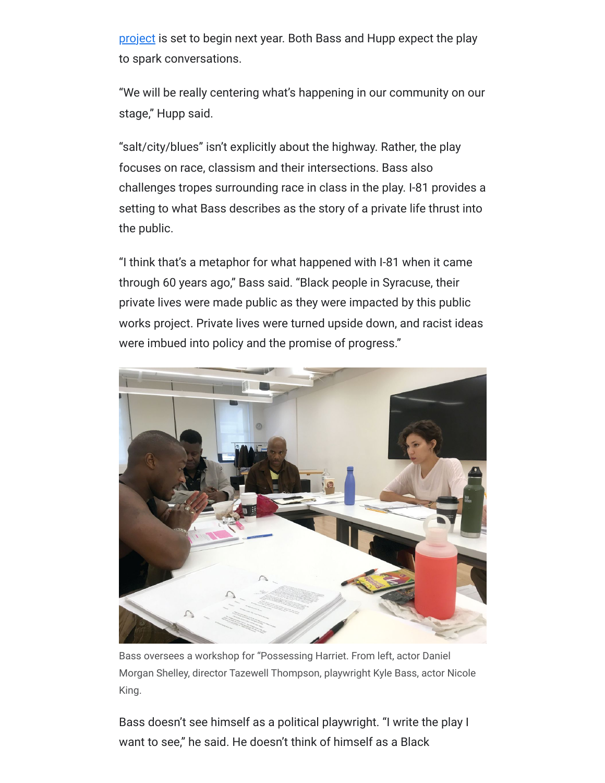[project is set to begin next year. Both Bass and Hupp expect the](https://www.syracuse.com/news/2021/07/i-81-construction-begins-next-year-but-the-hulking-highway-wont-come-down-for-years.html) play to spark conversations.

"We will be really centering what's happening in our community on our stage," Hupp said.

"salt/city/blues" isn't explicitly about the highway. Rather, the play focuses on race, classism and their intersections. Bass also challenges tropes surrounding race in class in the play. I-81 provides a setting to what Bass describes as the story of a private life thrust into the public.

"I think that's a metaphor for what happened with I-81 when it came through 60 years ago," Bass said. "Black people in Syracuse, their private lives were made public as they were impacted by this public works project. Private lives were turned upside down, and racist ideas were imbued into policy and the promise of progress."



Bass oversees a workshop for "Possessing Harriet. From left, actor Daniel<br>Morgan Shelley, director Tazewell Thompson, playwright Kyle Bass, actor N<br>King.<br>Bass doesn't see himself as a political playwright. "I write the pl<br> Morgan Shelley, director Tazewell Thompson, playwright Kyle Bass, actor Nicole King.

Bass doesn't see himself as a political playwright. "I write the play I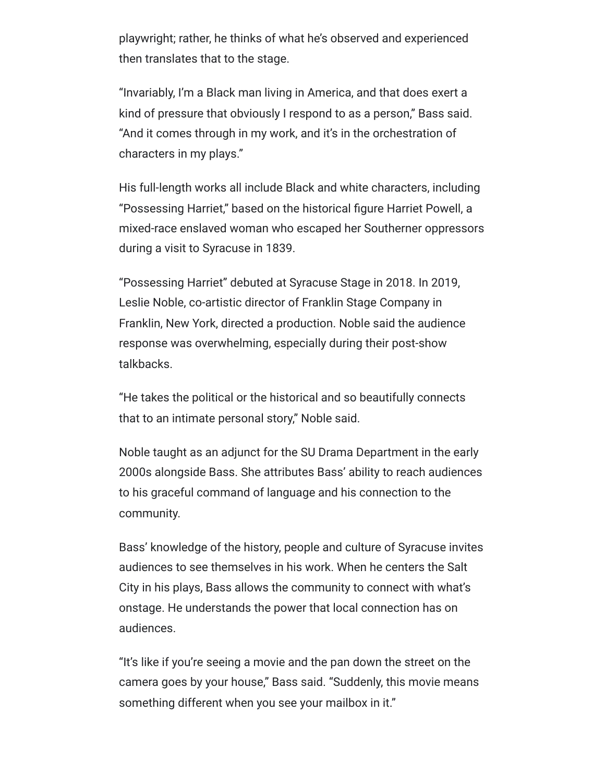playwright; rather, he thinks of what he's observed and experienced then translates that to the stage.

"Invariably, I'm a Black man living in America, and that does exert a kind of pressure that obviously I respond to as a person," Bass said. "And it comes through in my work, and it's in the orchestration of characters in my plays."

His full-length works all include Black and white characters, including "Possessing Harriet," based on the historical figure Harriet Powell, a mixed-race enslaved woman who escaped her Southerner oppressors during a visit to Syracuse in 1839.

"Possessing Harriet" debuted at Syracuse Stage in 2018. In 2019, Leslie Noble, co-artistic director of Franklin Stage Company in Franklin, New York, directed a production. Noble said the audience response was overwhelming, especially during their post-show talkbacks.

"He takes the political or the historical and so beautifully connects that to an intimate personal story," Noble said.

Noble taught as an adjunct for the SU Drama Department in the early 2000s alongside Bass. She attributes Bass' ability to reach audiences to his graceful command of language and his connection to the community.

Bass' knowledge of the history, people and culture of Syracuse invites audiences to see themselves in his work. When he centers the Salt City in his plays, Bass allows the community to connect with what's onstage. He understands the power that local connection has on audiences.

"It's like if you're seeing a movie and the pan down the street on the camera goes by your house," Bass said. "Suddenly, this movie means something different when you see your mailbox in it."